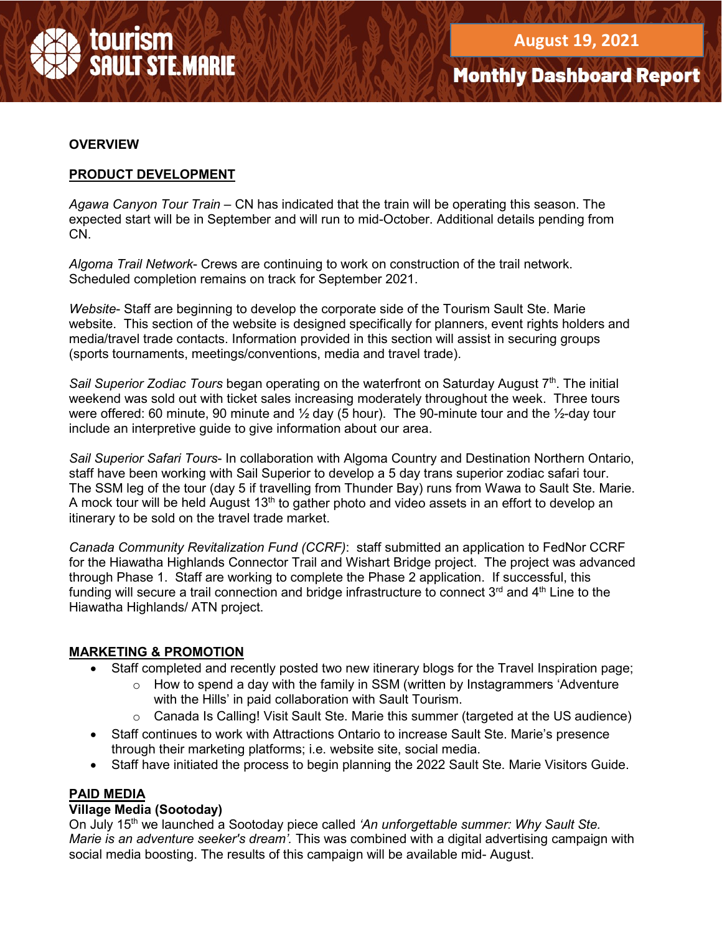

#### **OVERVIEW**

### **PRODUCT DEVELOPMENT**

*Agawa Canyon Tour Train –* CN has indicated that the train will be operating this season. The expected start will be in September and will run to mid-October. Additional details pending from CN.

*Algoma Trail Network*- Crews are continuing to work on construction of the trail network. Scheduled completion remains on track for September 2021.

*Website*- Staff are beginning to develop the corporate side of the Tourism Sault Ste. Marie website. This section of the website is designed specifically for planners, event rights holders and media/travel trade contacts. Information provided in this section will assist in securing groups (sports tournaments, meetings/conventions, media and travel trade).

Sail Superior Zodiac Tours began operating on the waterfront on Saturday August 7<sup>th</sup>. The initial weekend was sold out with ticket sales increasing moderately throughout the week. Three tours were offered: 60 minute, 90 minute and  $\frac{1}{2}$  day (5 hour). The 90-minute tour and the  $\frac{1}{2}$ -day tour include an interpretive guide to give information about our area.

*Sail Superior Safari Tours*- In collaboration with Algoma Country and Destination Northern Ontario, staff have been working with Sail Superior to develop a 5 day trans superior zodiac safari tour. The SSM leg of the tour (day 5 if travelling from Thunder Bay) runs from Wawa to Sault Ste. Marie. A mock tour will be held August  $13<sup>th</sup>$  to gather photo and video assets in an effort to develop an itinerary to be sold on the travel trade market.

*Canada Community Revitalization Fund (CCRF)*: staff submitted an application to FedNor CCRF for the Hiawatha Highlands Connector Trail and Wishart Bridge project. The project was advanced through Phase 1. Staff are working to complete the Phase 2 application. If successful, this funding will secure a trail connection and bridge infrastructure to connect  $3<sup>rd</sup>$  and  $4<sup>th</sup>$  Line to the Hiawatha Highlands/ ATN project.

### **MARKETING & PROMOTION**

- Staff completed and recently posted two new itinerary blogs for the Travel Inspiration page;
	- $\circ$  How to spend a day with the family in SSM (written by Instagrammers 'Adventure' with the Hills' in paid collaboration with Sault Tourism.
	- $\circ$  Canada Is Calling! Visit Sault Ste. Marie this summer (targeted at the US audience)
- Staff continues to work with Attractions Ontario to increase Sault Ste. Marie's presence through their marketing platforms; i.e. website site, social media.
- Staff have initiated the process to begin planning the 2022 Sault Ste. Marie Visitors Guide.

### **PAID MEDIA**

#### **Village Media (Sootoday)**

On July 15th we launched a Sootoday piece called *'An unforgettable summer: Why Sault Ste. Marie is an adventure seeker's dream'.* This was combined with a digital advertising campaign with social media boosting. The results of this campaign will be available mid- August.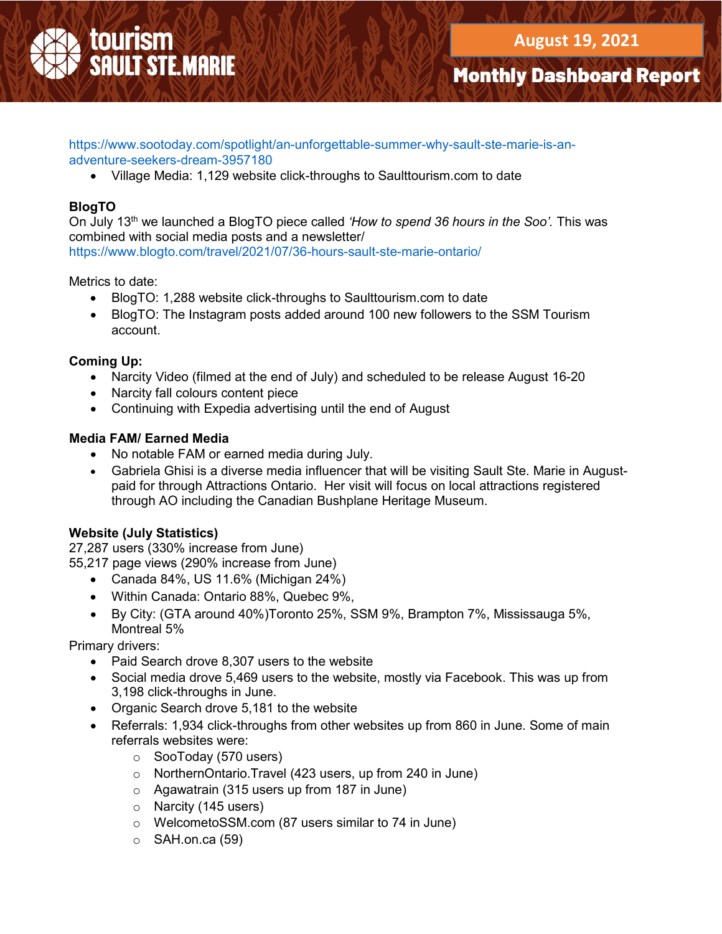https://www.sootoday.com/spotlight/an-unforgettable-summer-why-sault-ste-marie-is-anadventure-seekers-dream-3957180

• Village Media: 1,129 website click-throughs to Saulttourism.com to date

# **BlogTO**

On July 13th we launched a BlogTO piece called *'How to spend 36 hours in the Soo'.* This was combined with social media posts and a newsletter/ https://www.blogto.com/travel/2021/07/36-hours-sault-ste-marie-ontario/

Metrics to date:

- BlogTO: 1,288 website click-throughs to Saulttourism.com to date
- BlogTO: The Instagram posts added around 100 new followers to the SSM Tourism account.

## **Coming Up:**

- Narcity Video (filmed at the end of July) and scheduled to be release August 16-20
- Narcity fall colours content piece
- Continuing with Expedia advertising until the end of August

### **Media FAM/ Earned Media**

- No notable FAM or earned media during July.
- Gabriela Ghisi is a diverse media influencer that will be visiting Sault Ste. Marie in Augustpaid for through Attractions Ontario. Her visit will focus on local attractions registered through AO including the Canadian Bushplane Heritage Museum.

## **Website (July Statistics)**

27,287 users (330% increase from June)

- 55,217 page views (290% increase from June)
	- Canada 84%, US 11.6% (Michigan 24%)
	- Within Canada: Ontario 88%, Quebec 9%,
	- By City: (GTA around 40%)Toronto 25%, SSM 9%, Brampton 7%, Mississauga 5%, Montreal 5%

Primary drivers:

- Paid Search drove 8,307 users to the website
- Social media drove 5,469 users to the website, mostly via Facebook. This was up from 3,198 click-throughs in June.
- Organic Search drove 5,181 to the website
- Referrals: 1,934 click-throughs from other websites up from 860 in June. Some of main referrals websites were:
	- o SooToday (570 users)
	- o NorthernOntario.Travel (423 users, up from 240 in June)
	- o Agawatrain (315 users up from 187 in June)
	- o Narcity (145 users)
	- o WelcometoSSM.com (87 users similar to 74 in June)
	- $\circ$  SAH.on.ca (59)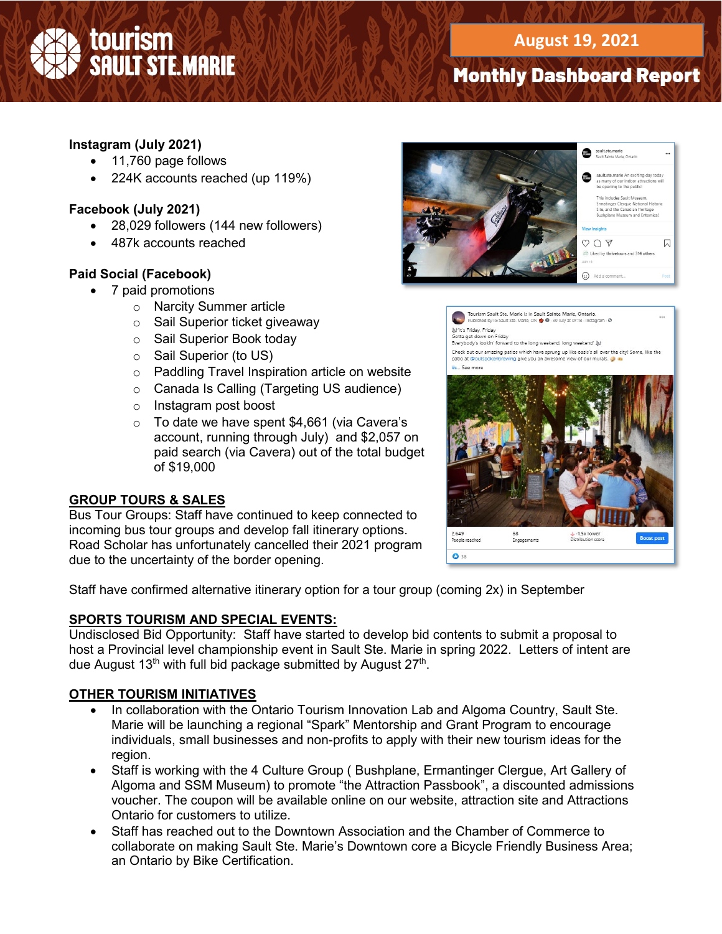# **Instagram (July 2021)**

- 11,760 page follows
- 224K accounts reached (up 119%)

### **Facebook (July 2021)**

- 28,029 followers (144 new followers)
- 487k accounts reached

### **Paid Social (Facebook)**

- 7 paid promotions
	- o Narcity Summer article
	- o Sail Superior ticket giveaway
	- o Sail Superior Book today
	- o Sail Superior (to US)
	- o Paddling Travel Inspiration article on website
	- o Canada Is Calling (Targeting US audience)
	- o Instagram post boost
	- o To date we have spent \$4,661 (via Cavera's account, running through July) and \$2,057 on paid search (via Cavera) out of the total budget of \$19,000

### **GROUP TOURS & SALES**

Bus Tour Groups: Staff have continued to keep connected to incoming bus tour groups and develop fall itinerary options. Road Scholar has unfortunately cancelled their 2021 program due to the uncertainty of the border opening.



Tourism Sault Ste. Marie is in Sault Sainte Marie, Ontario.<br>Published by IG Sault Ste. Marie, ON  $\bigcirc$  0 - 30 July at 07:13 - Instagram - 0 )<br>Gotta get down on Friday<br>Everybody's lookin' forward to the long weekend, long weekend' 》 Check out our amazing patios which have sprung up like oasis's all over the city! Some, like the ing give you an awesome view of our murals.  $\frac{1}{2}$  See man



Staff have confirmed alternative itinerary option for a tour group (coming 2x) in September

### **SPORTS TOURISM AND SPECIAL EVENTS:**

Undisclosed Bid Opportunity: Staff have started to develop bid contents to submit a proposal to host a Provincial level championship event in Sault Ste. Marie in spring 2022. Letters of intent are due August  $13<sup>th</sup>$  with full bid package submitted by August  $27<sup>th</sup>$ .

### **OTHER TOURISM INITIATIVES**

- In collaboration with the Ontario Tourism Innovation Lab and Algoma Country, Sault Ste. Marie will be launching a regional "Spark" Mentorship and Grant Program to encourage individuals, small businesses and non-profits to apply with their new tourism ideas for the region.
- Staff is working with the 4 Culture Group ( Bushplane, Ermantinger Clergue, Art Gallery of Algoma and SSM Museum) to promote "the Attraction Passbook", a discounted admissions voucher. The coupon will be available online on our website, attraction site and Attractions Ontario for customers to utilize.
- Staff has reached out to the Downtown Association and the Chamber of Commerce to collaborate on making Sault Ste. Marie's Downtown core a Bicycle Friendly Business Area; an Ontario by Bike Certification.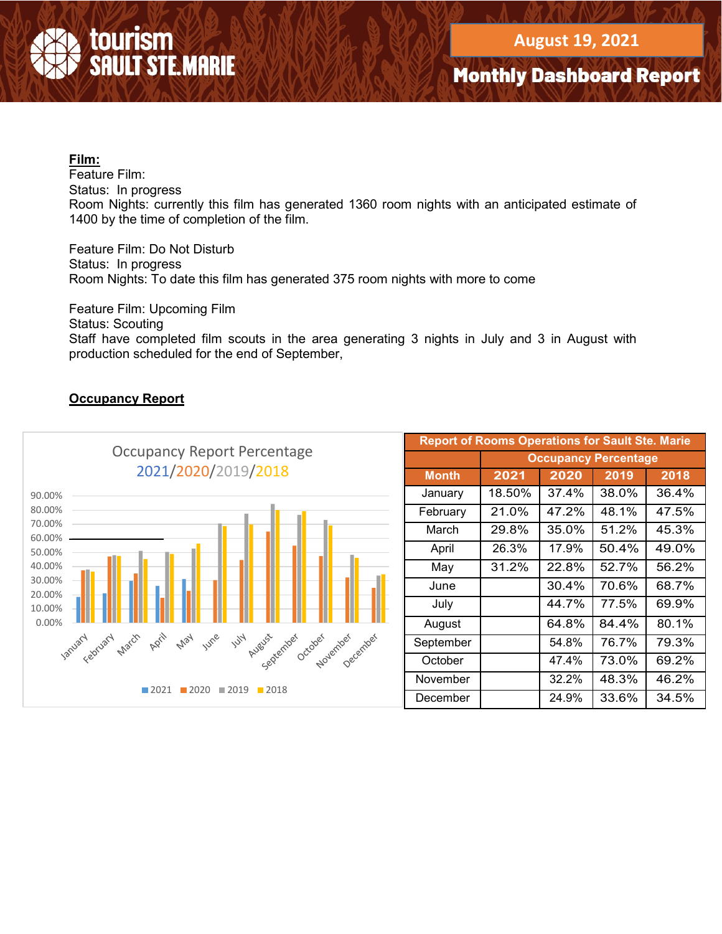

### **Film:**

Feature Film: Status: In progress Room Nights: currently this film has generated 1360 room nights with an anticipated estimate of 1400 by the time of completion of the film.

Feature Film: Do Not Disturb Status: In progress Room Nights: To date this film has generated 375 room nights with more to come

Feature Film: Upcoming Film

Status: Scouting

Staff have completed film scouts in the area generating 3 nights in July and 3 in August with production scheduled for the end of September,

## **Occupancy Report**